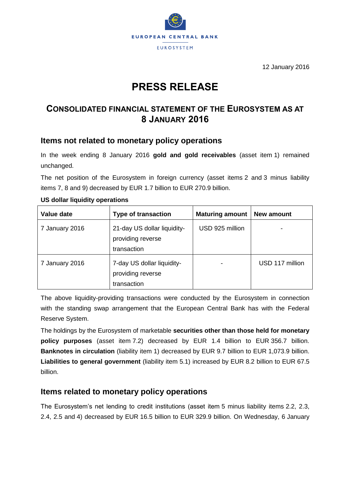

12 January 2016

# **PRESS RELEASE**

# **CONSOLIDATED FINANCIAL STATEMENT OF THE EUROSYSTEM AS AT 8 JANUARY 2016**

### **Items not related to monetary policy operations**

In the week ending 8 January 2016 **gold and gold receivables** (asset item 1) remained unchanged.

The net position of the Eurosystem in foreign currency (asset items 2 and 3 minus liability items 7, 8 and 9) decreased by EUR 1.7 billion to EUR 270.9 billion.

| Value date     | <b>Type of transaction</b>                                      | <b>Maturing amount</b> | New amount      |
|----------------|-----------------------------------------------------------------|------------------------|-----------------|
| 7 January 2016 | 21-day US dollar liquidity-<br>providing reverse<br>transaction | USD 925 million        |                 |
| 7 January 2016 | 7-day US dollar liquidity-<br>providing reverse<br>transaction  |                        | USD 117 million |

#### **US dollar liquidity operations**

The above liquidity-providing transactions were conducted by the Eurosystem in connection with the standing swap arrangement that the European Central Bank has with the Federal Reserve System.

The holdings by the Eurosystem of marketable **securities other than those held for monetary policy purposes** (asset item 7.2) decreased by EUR 1.4 billion to EUR 356.7 billion. **Banknotes in circulation** (liability item 1) decreased by EUR 9.7 billion to EUR 1,073.9 billion. **Liabilities to general government** (liability item 5.1) increased by EUR 8.2 billion to EUR 67.5 billion.

# **Items related to monetary policy operations**

The Eurosystem's net lending to credit institutions (asset item 5 minus liability items 2.2, 2.3, 2.4, 2.5 and 4) decreased by EUR 16.5 billion to EUR 329.9 billion. On Wednesday, 6 January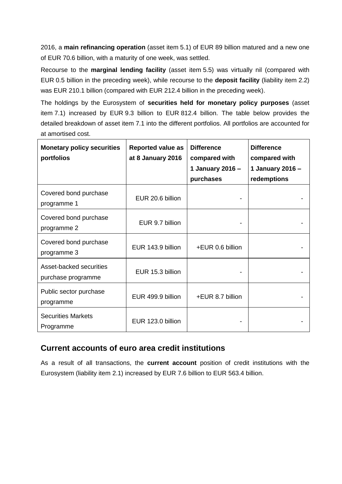2016, a **main refinancing operation** (asset item 5.1) of EUR 89 billion matured and a new one of EUR 70.6 billion, with a maturity of one week, was settled.

Recourse to the **marginal lending facility** (asset item 5.5) was virtually nil (compared with EUR 0.5 billion in the preceding week), while recourse to the **deposit facility** (liability item 2.2) was EUR 210.1 billion (compared with EUR 212.4 billion in the preceding week).

The holdings by the Eurosystem of **securities held for monetary policy purposes** (asset item 7.1) increased by EUR 9.3 billion to EUR 812.4 billion. The table below provides the detailed breakdown of asset item 7.1 into the different portfolios. All portfolios are accounted for at amortised cost.

| <b>Monetary policy securities</b><br>portfolios | <b>Reported value as</b><br>at 8 January 2016 | <b>Difference</b><br>compared with<br>1 January 2016 -<br>purchases | <b>Difference</b><br>compared with<br>1 January 2016 -<br>redemptions |
|-------------------------------------------------|-----------------------------------------------|---------------------------------------------------------------------|-----------------------------------------------------------------------|
| Covered bond purchase<br>programme 1            | EUR 20.6 billion                              |                                                                     |                                                                       |
| Covered bond purchase<br>programme 2            | EUR 9.7 billion                               |                                                                     |                                                                       |
| Covered bond purchase<br>programme 3            | EUR 143.9 billion                             | +EUR 0.6 billion                                                    |                                                                       |
| Asset-backed securities<br>purchase programme   | EUR 15.3 billion                              |                                                                     |                                                                       |
| Public sector purchase<br>programme             | EUR 499.9 billion                             | +EUR 8.7 billion                                                    |                                                                       |
| <b>Securities Markets</b><br>Programme          | EUR 123.0 billion                             |                                                                     |                                                                       |

# **Current accounts of euro area credit institutions**

As a result of all transactions, the **current account** position of credit institutions with the Eurosystem (liability item 2.1) increased by EUR 7.6 billion to EUR 563.4 billion.